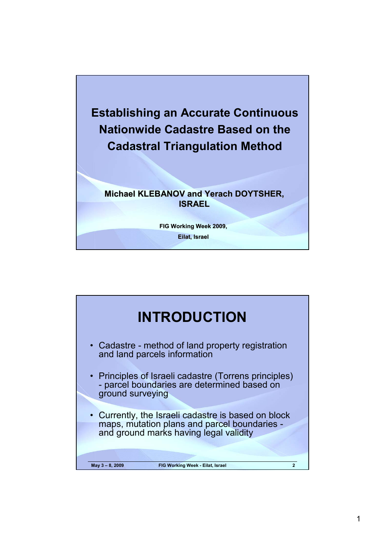

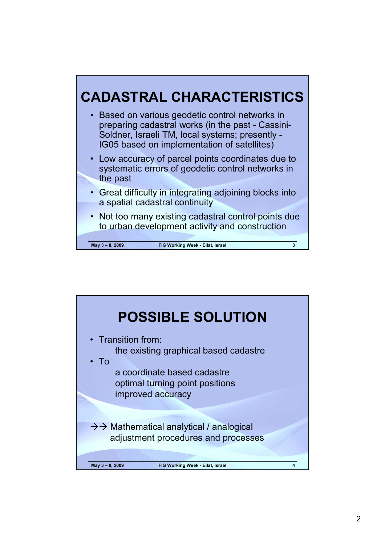

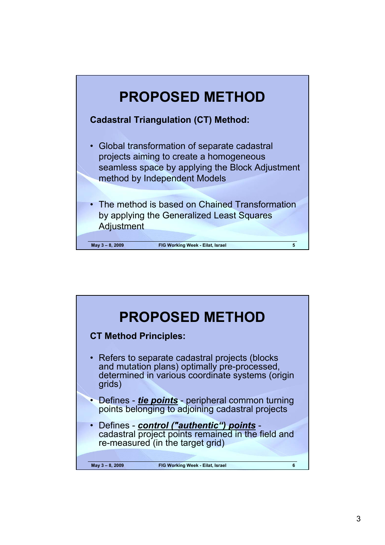

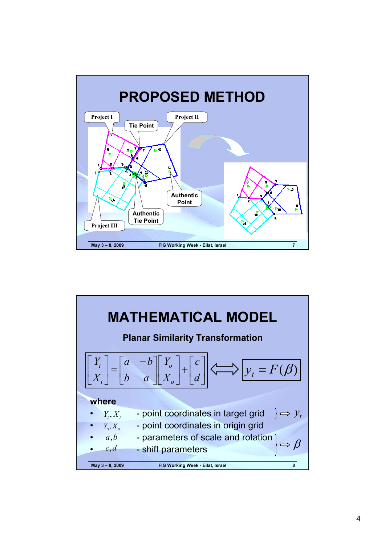

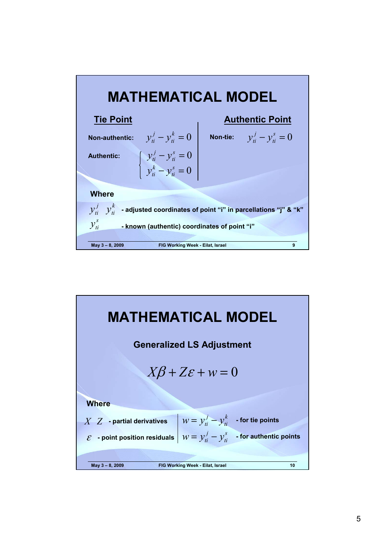

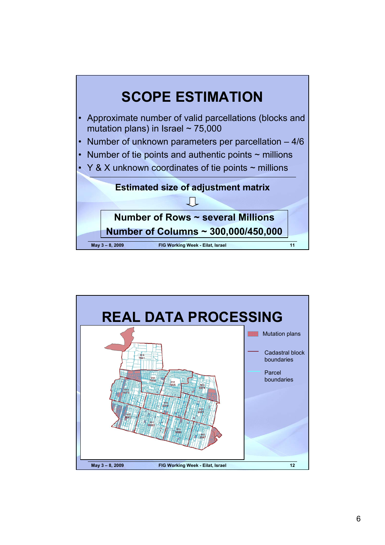

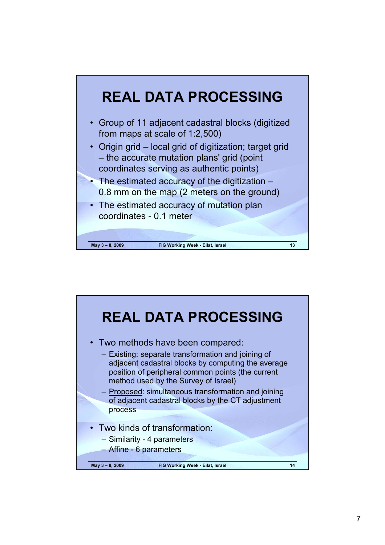

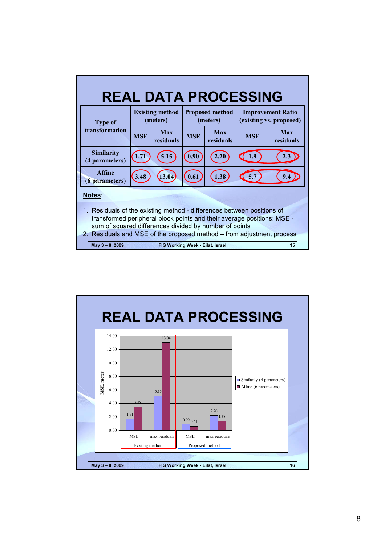| <b>REAL DATA PROCESSING</b>                                                                                                                                                                                                                                                         |                                     |                                    |                                  |                                    |                  |                                                     |                  |
|-------------------------------------------------------------------------------------------------------------------------------------------------------------------------------------------------------------------------------------------------------------------------------------|-------------------------------------|------------------------------------|----------------------------------|------------------------------------|------------------|-----------------------------------------------------|------------------|
|                                                                                                                                                                                                                                                                                     | <b>Type of</b><br>transformation    | <b>Existing method</b><br>(meters) |                                  | <b>Proposed method</b><br>(meters) |                  | <b>Improvement Ratio</b><br>(existing vs. proposed) |                  |
|                                                                                                                                                                                                                                                                                     |                                     | <b>MSE</b>                         | Max<br>residuals                 | <b>MSE</b>                         | Max<br>residuals | <b>MSE</b>                                          | Max<br>residuals |
|                                                                                                                                                                                                                                                                                     | <b>Similarity</b><br>(4 parameters) | 1.71                               | 5.15                             | 0.90                               | 2.20             | 1.9                                                 |                  |
|                                                                                                                                                                                                                                                                                     | <b>Affine</b><br>(6 parameters)     | 3.48                               | (13.04)                          | $\boxed{0.61}$                     | 1.38             | 5.7                                                 |                  |
| Notes:                                                                                                                                                                                                                                                                              |                                     |                                    |                                  |                                    |                  |                                                     |                  |
| 1. Residuals of the existing method - differences between positions of<br>transformed peripheral block points and their average positions; MSE -<br>sum of squared differences divided by number of points<br>2. Residuals and MSE of the proposed method - from adjustment process |                                     |                                    |                                  |                                    |                  |                                                     |                  |
|                                                                                                                                                                                                                                                                                     | May 3-8, 2009                       |                                    | FIG Working Week - Eilat, Israel |                                    |                  |                                                     | 15               |

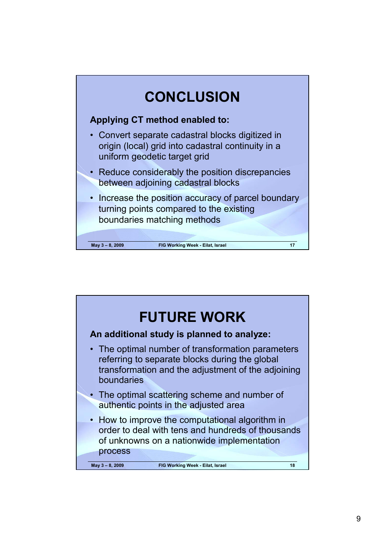